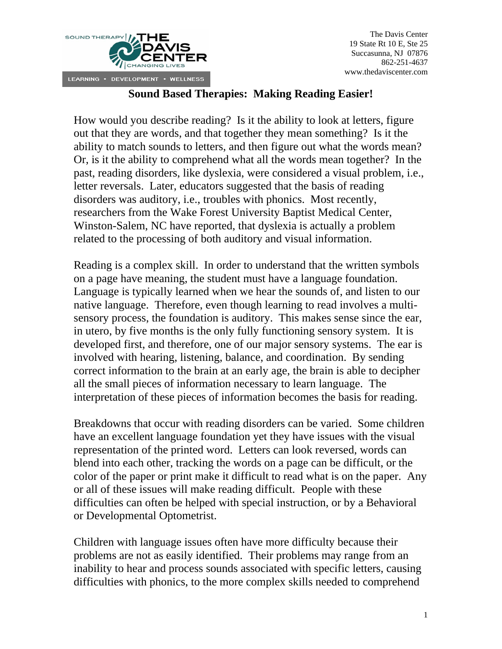

## **Sound Based Therapies: Making Reading Easier!**

How would you describe reading? Is it the ability to look at letters, figure out that they are words, and that together they mean something? Is it the ability to match sounds to letters, and then figure out what the words mean? Or, is it the ability to comprehend what all the words mean together? In the past, reading disorders, like dyslexia, were considered a visual problem, i.e., letter reversals. Later, educators suggested that the basis of reading disorders was auditory, i.e., troubles with phonics. Most recently, researchers from the Wake Forest University Baptist Medical Center, Winston-Salem, NC have reported, that dyslexia is actually a problem related to the processing of both auditory and visual information.

Reading is a complex skill. In order to understand that the written symbols on a page have meaning, the student must have a language foundation. Language is typically learned when we hear the sounds of, and listen to our native language. Therefore, even though learning to read involves a multisensory process, the foundation is auditory. This makes sense since the ear, in utero, by five months is the only fully functioning sensory system. It is developed first, and therefore, one of our major sensory systems. The ear is involved with hearing, listening, balance, and coordination. By sending correct information to the brain at an early age, the brain is able to decipher all the small pieces of information necessary to learn language. The interpretation of these pieces of information becomes the basis for reading.

Breakdowns that occur with reading disorders can be varied. Some children have an excellent language foundation yet they have issues with the visual representation of the printed word. Letters can look reversed, words can blend into each other, tracking the words on a page can be difficult, or the color of the paper or print make it difficult to read what is on the paper. Any or all of these issues will make reading difficult. People with these difficulties can often be helped with special instruction, or by a Behavioral or Developmental Optometrist.

Children with language issues often have more difficulty because their problems are not as easily identified. Their problems may range from an inability to hear and process sounds associated with specific letters, causing difficulties with phonics, to the more complex skills needed to comprehend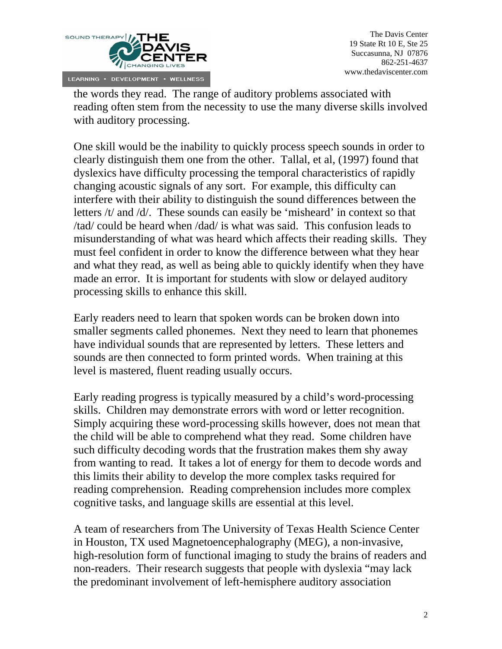

the words they read. The range of auditory problems associated with reading often stem from the necessity to use the many diverse skills involved with auditory processing.

One skill would be the inability to quickly process speech sounds in order to clearly distinguish them one from the other. Tallal, et al, (1997) found that dyslexics have difficulty processing the temporal characteristics of rapidly changing acoustic signals of any sort. For example, this difficulty can interfere with their ability to distinguish the sound differences between the letters /t/ and /d/. These sounds can easily be 'misheard' in context so that /tad/ could be heard when /dad/ is what was said. This confusion leads to misunderstanding of what was heard which affects their reading skills. They must feel confident in order to know the difference between what they hear and what they read, as well as being able to quickly identify when they have made an error. It is important for students with slow or delayed auditory processing skills to enhance this skill.

Early readers need to learn that spoken words can be broken down into smaller segments called phonemes. Next they need to learn that phonemes have individual sounds that are represented by letters. These letters and sounds are then connected to form printed words. When training at this level is mastered, fluent reading usually occurs.

Early reading progress is typically measured by a child's word-processing skills. Children may demonstrate errors with word or letter recognition. Simply acquiring these word-processing skills however, does not mean that the child will be able to comprehend what they read. Some children have such difficulty decoding words that the frustration makes them shy away from wanting to read. It takes a lot of energy for them to decode words and this limits their ability to develop the more complex tasks required for reading comprehension. Reading comprehension includes more complex cognitive tasks, and language skills are essential at this level.

A team of researchers from The University of Texas Health Science Center in Houston, TX used Magnetoencephalography (MEG), a non-invasive, high-resolution form of functional imaging to study the brains of readers and non-readers. Their research suggests that people with dyslexia "may lack the predominant involvement of left-hemisphere auditory association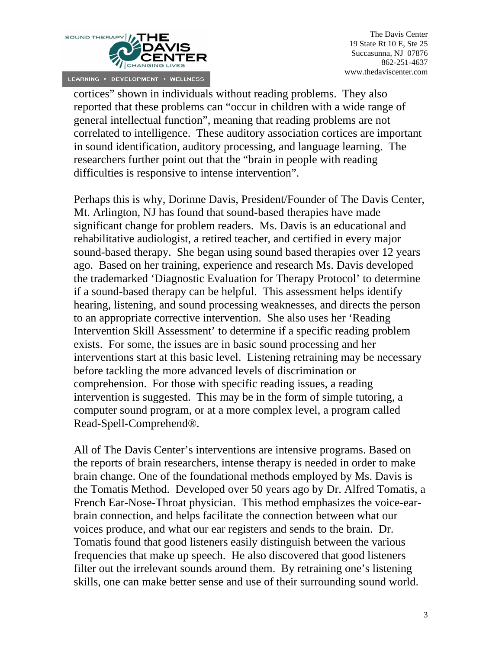

The Davis Center 19 State Rt 10 E, Ste 25 Succasunna, NJ 07876 862-251-4637 www.thedaviscenter.com

cortices" shown in individuals without reading problems. They also reported that these problems can "occur in children with a wide range of general intellectual function", meaning that reading problems are not correlated to intelligence. These auditory association cortices are important in sound identification, auditory processing, and language learning. The researchers further point out that the "brain in people with reading difficulties is responsive to intense intervention".

Perhaps this is why, Dorinne Davis, President/Founder of The Davis Center, Mt. Arlington, NJ has found that sound-based therapies have made significant change for problem readers. Ms. Davis is an educational and rehabilitative audiologist, a retired teacher, and certified in every major sound-based therapy. She began using sound based therapies over 12 years ago. Based on her training, experience and research Ms. Davis developed the trademarked 'Diagnostic Evaluation for Therapy Protocol' to determine if a sound-based therapy can be helpful. This assessment helps identify hearing, listening, and sound processing weaknesses, and directs the person to an appropriate corrective intervention. She also uses her 'Reading Intervention Skill Assessment' to determine if a specific reading problem exists. For some, the issues are in basic sound processing and her interventions start at this basic level. Listening retraining may be necessary before tackling the more advanced levels of discrimination or comprehension. For those with specific reading issues, a reading intervention is suggested. This may be in the form of simple tutoring, a computer sound program, or at a more complex level, a program called Read-Spell-Comprehend®.

All of The Davis Center's interventions are intensive programs. Based on the reports of brain researchers, intense therapy is needed in order to make brain change. One of the foundational methods employed by Ms. Davis is the Tomatis Method. Developed over 50 years ago by Dr. Alfred Tomatis, a French Ear-Nose-Throat physician. This method emphasizes the voice-earbrain connection, and helps facilitate the connection between what our voices produce, and what our ear registers and sends to the brain. Dr. Tomatis found that good listeners easily distinguish between the various frequencies that make up speech. He also discovered that good listeners filter out the irrelevant sounds around them. By retraining one's listening skills, one can make better sense and use of their surrounding sound world.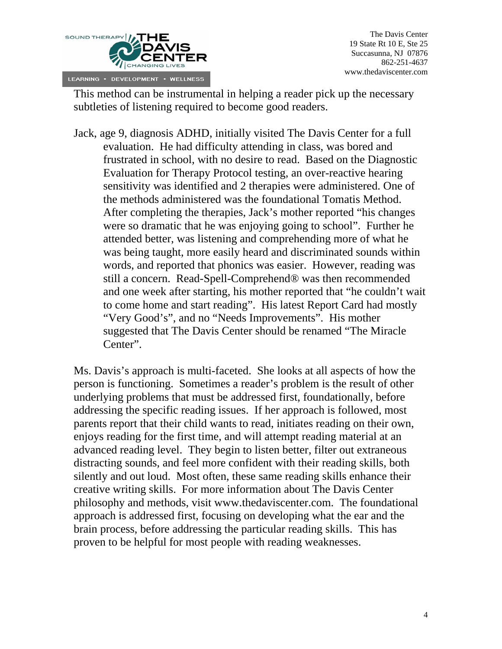

This method can be instrumental in helping a reader pick up the necessary subtleties of listening required to become good readers.

Jack, age 9, diagnosis ADHD, initially visited The Davis Center for a full evaluation. He had difficulty attending in class, was bored and frustrated in school, with no desire to read. Based on the Diagnostic Evaluation for Therapy Protocol testing, an over-reactive hearing sensitivity was identified and 2 therapies were administered. One of the methods administered was the foundational Tomatis Method. After completing the therapies, Jack's mother reported "his changes were so dramatic that he was enjoying going to school". Further he attended better, was listening and comprehending more of what he was being taught, more easily heard and discriminated sounds within words, and reported that phonics was easier. However, reading was still a concern. Read-Spell-Comprehend® was then recommended and one week after starting, his mother reported that "he couldn't wait to come home and start reading". His latest Report Card had mostly "Very Good's", and no "Needs Improvements". His mother suggested that The Davis Center should be renamed "The Miracle Center".

Ms. Davis's approach is multi-faceted. She looks at all aspects of how the person is functioning. Sometimes a reader's problem is the result of other underlying problems that must be addressed first, foundationally, before addressing the specific reading issues. If her approach is followed, most parents report that their child wants to read, initiates reading on their own, enjoys reading for the first time, and will attempt reading material at an advanced reading level. They begin to listen better, filter out extraneous distracting sounds, and feel more confident with their reading skills, both silently and out loud. Most often, these same reading skills enhance their creative writing skills. For more information about The Davis Center philosophy and methods, visit www.thedaviscenter.com. The foundational approach is addressed first, focusing on developing what the ear and the brain process, before addressing the particular reading skills. This has proven to be helpful for most people with reading weaknesses.